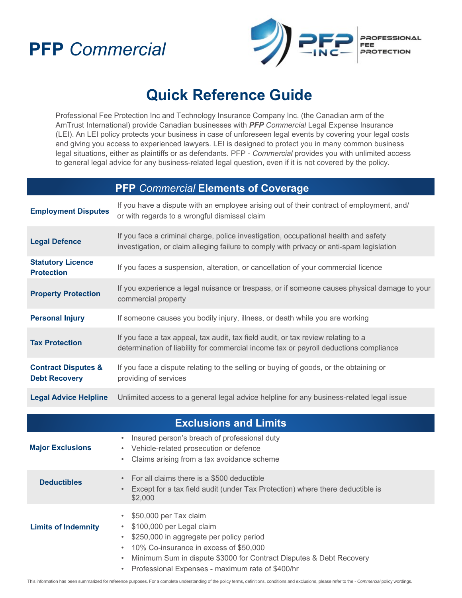# **PFP** *Commercial*



## **Quick Reference Guide**

Professional Fee Protection Inc and Technology Insurance Company Inc. (the Canadian arm of the AmTrust International) provide Canadian businesses with *PFP Commercial* Legal Expense Insurance (LEI). An LEI policy protects your business in case of unforeseen legal events by covering your legal costs and giving you access to experienced lawyers. LEI is designed to protect you in many common business legal situations, either as plaintiffs or as defendants. PFP *- Commercial* provides you with unlimited access to general legal advice for any business-related legal question, even if it is not covered by the policy.

| <b>PFP</b> Commercial Elements of Coverage             |                                                                                                                                                                                 |
|--------------------------------------------------------|---------------------------------------------------------------------------------------------------------------------------------------------------------------------------------|
| <b>Employment Disputes</b>                             | If you have a dispute with an employee arising out of their contract of employment, and/<br>or with regards to a wrongful dismissal claim                                       |
| <b>Legal Defence</b>                                   | If you face a criminal charge, police investigation, occupational health and safety<br>investigation, or claim alleging failure to comply with privacy or anti-spam legislation |
| <b>Statutory Licence</b><br><b>Protection</b>          | If you faces a suspension, alteration, or cancellation of your commercial licence                                                                                               |
| <b>Property Protection</b>                             | If you experience a legal nuisance or trespass, or if someone causes physical damage to your<br>commercial property                                                             |
| <b>Personal Injury</b>                                 | If someone causes you bodily injury, illness, or death while you are working                                                                                                    |
| <b>Tax Protection</b>                                  | If you face a tax appeal, tax audit, tax field audit, or tax review relating to a<br>determination of liability for commercial income tax or payroll deductions compliance      |
| <b>Contract Disputes &amp;</b><br><b>Debt Recovery</b> | If you face a dispute relating to the selling or buying of goods, or the obtaining or<br>providing of services                                                                  |
| <b>Legal Advice Helpline</b>                           | Unlimited access to a general legal advice helpline for any business-related legal issue                                                                                        |
| <b>Exclusions and Limits</b>                           |                                                                                                                                                                                 |
| <b>Major Exclusions</b>                                | Insured person's breach of professional duty<br>$\bullet$<br>Vehicle-related prosecution or defence<br>٠<br>Claims arising from a tax avoidance scheme<br>$\bullet$             |
| <b>Deductibles</b>                                     | For all claims there is a \$500 deductible<br>$\bullet$<br>Except for a tax field audit (under Tax Protection) where there deductible is<br>$\bullet$<br>\$2,000                |
| <b>Limits of Indemnity</b>                             | \$50,000 per Tax claim<br>$\bullet$<br>\$100,000 per Legal claim<br>\$250,000 in aggregate per policy period                                                                    |

- 10% Co-insurance in excess of \$50,000
- Minimum Sum in dispute \$3000 for Contract Disputes & Debt Recovery
- Professional Expenses maximum rate of \$400/hr